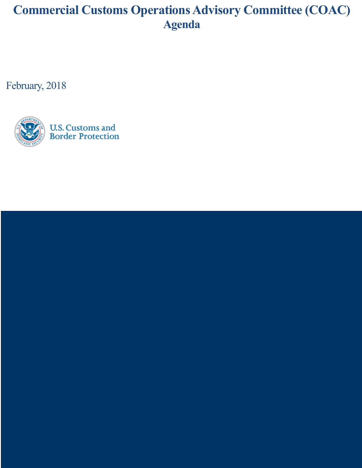## **Commercial Customs Operations Advisory Committee (COAC) Agenda**

February, 2018



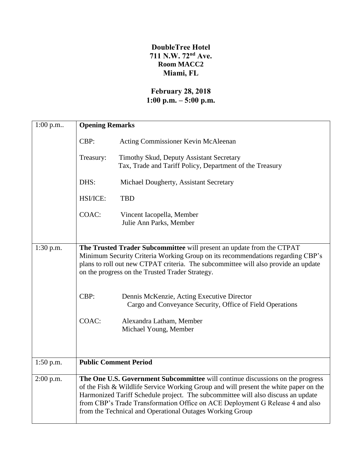## **DoubleTree Hotel 711 N.W. 72nd Ave. Room MACC2 Miami, FL**

## **February 28, 2018 1:00 p.m. – 5:00 p.m.**

| $1:00$ p.m  | <b>Opening Remarks</b>                                                                                                                                                                                                                                                                                                                                                                                  |                                                                                                         |  |
|-------------|---------------------------------------------------------------------------------------------------------------------------------------------------------------------------------------------------------------------------------------------------------------------------------------------------------------------------------------------------------------------------------------------------------|---------------------------------------------------------------------------------------------------------|--|
|             | CBP:                                                                                                                                                                                                                                                                                                                                                                                                    | Acting Commissioner Kevin McAleenan                                                                     |  |
|             | Treasury:                                                                                                                                                                                                                                                                                                                                                                                               | Timothy Skud, Deputy Assistant Secretary<br>Tax, Trade and Tariff Policy, Department of the Treasury    |  |
|             | DHS:                                                                                                                                                                                                                                                                                                                                                                                                    | Michael Dougherty, Assistant Secretary                                                                  |  |
|             | HSI/ICE:                                                                                                                                                                                                                                                                                                                                                                                                | <b>TBD</b>                                                                                              |  |
|             | COAC:                                                                                                                                                                                                                                                                                                                                                                                                   | Vincent Iacopella, Member<br>Julie Ann Parks, Member                                                    |  |
| $1:30$ p.m. | The Trusted Trader Subcommittee will present an update from the CTPAT<br>Minimum Security Criteria Working Group on its recommendations regarding CBP's<br>plans to roll out new CTPAT criteria. The subcommittee will also provide an update<br>on the progress on the Trusted Trader Strategy.                                                                                                        |                                                                                                         |  |
|             | CBP:                                                                                                                                                                                                                                                                                                                                                                                                    | Dennis McKenzie, Acting Executive Director<br>Cargo and Conveyance Security, Office of Field Operations |  |
|             | COAC:                                                                                                                                                                                                                                                                                                                                                                                                   | Alexandra Latham, Member<br>Michael Young, Member                                                       |  |
| $1:50$ p.m. | <b>Public Comment Period</b>                                                                                                                                                                                                                                                                                                                                                                            |                                                                                                         |  |
| $2:00$ p.m. | The One U.S. Government Subcommittee will continue discussions on the progress<br>of the Fish & Wildlife Service Working Group and will present the white paper on the<br>Harmonized Tariff Schedule project. The subcommittee will also discuss an update<br>from CBP's Trade Transformation Office on ACE Deployment G Release 4 and also<br>from the Technical and Operational Outages Working Group |                                                                                                         |  |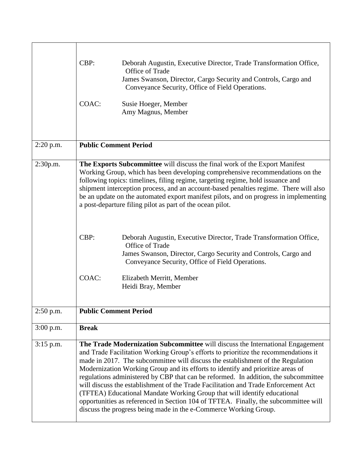|             | CBP:<br>Deborah Augustin, Executive Director, Trade Transformation Office,<br>Office of Trade<br>James Swanson, Director, Cargo Security and Controls, Cargo and<br>Conveyance Security, Office of Field Operations.<br>COAC:<br>Susie Hoeger, Member<br>Amy Magnus, Member                                                                                                                                                                                                                                                                                                                                                                                                                                                                                                        |  |  |
|-------------|------------------------------------------------------------------------------------------------------------------------------------------------------------------------------------------------------------------------------------------------------------------------------------------------------------------------------------------------------------------------------------------------------------------------------------------------------------------------------------------------------------------------------------------------------------------------------------------------------------------------------------------------------------------------------------------------------------------------------------------------------------------------------------|--|--|
| $2:20$ p.m. | <b>Public Comment Period</b>                                                                                                                                                                                                                                                                                                                                                                                                                                                                                                                                                                                                                                                                                                                                                       |  |  |
| 2:30p.m.    | The Exports Subcommittee will discuss the final work of the Export Manifest<br>Working Group, which has been developing comprehensive recommendations on the<br>following topics: timelines, filing regime, targeting regime, hold issuance and<br>shipment interception process, and an account-based penalties regime. There will also<br>be an update on the automated export manifest pilots, and on progress in implementing<br>a post-departure filing pilot as part of the ocean pilot.<br>CBP:<br>Deborah Augustin, Executive Director, Trade Transformation Office,<br>Office of Trade<br>James Swanson, Director, Cargo Security and Controls, Cargo and<br>Conveyance Security, Office of Field Operations.<br>COAC:<br>Elizabeth Merritt, Member<br>Heidi Bray, Member |  |  |
| 2:50 p.m.   | <b>Public Comment Period</b>                                                                                                                                                                                                                                                                                                                                                                                                                                                                                                                                                                                                                                                                                                                                                       |  |  |
| $3:00$ p.m. | <b>Break</b>                                                                                                                                                                                                                                                                                                                                                                                                                                                                                                                                                                                                                                                                                                                                                                       |  |  |
| $3:15$ p.m. | The Trade Modernization Subcommittee will discuss the International Engagement<br>and Trade Facilitation Working Group's efforts to prioritize the recommendations it<br>made in 2017. The subcommittee will discuss the establishment of the Regulation<br>Modernization Working Group and its efforts to identify and prioritize areas of<br>regulations administered by CBP that can be reformed. In addition, the subcommittee<br>will discuss the establishment of the Trade Facilitation and Trade Enforcement Act<br>(TFTEA) Educational Mandate Working Group that will identify educational<br>opportunities as referenced in Section 104 of TFTEA. Finally, the subcommittee will<br>discuss the progress being made in the e-Commerce Working Group.                    |  |  |